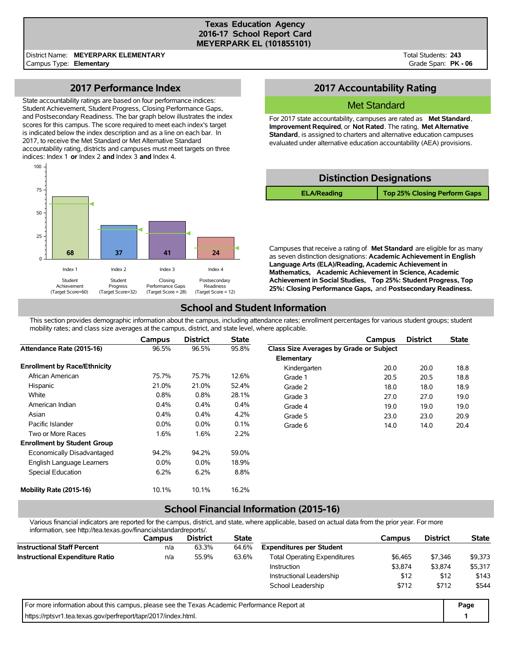### **Texas Education Agency 2016-17 School Report Card MEYERPARK EL (101855101)**

District Name: **MEYERPARK ELEMENTARY** Campus Type: **Elementary**

Total Students: **243** Grade Span: **PK - 06**

# **2017 Performance Index**

State accountability ratings are based on four performance indices: Student Achievement, Student Progress, Closing Performance Gaps, and Postsecondary Readiness. The bar graph below illustrates the index scores for this campus. The score required to meet each index's target is indicated below the index description and as a line on each bar. In 2017, to receive the Met Standard or Met Alternative Standard accountability rating, districts and campuses must meet targets on three indices: Index 1 **or** Index 2 **and** Index 3 **and** Index 4.



# **2017 Accountability Rating**

### Met Standard

For 2017 state accountability, campuses are rated as **Met Standard**, **Improvement Required**, or **Not Rated**. The rating, **Met Alternative Standard**, is assigned to charters and alternative education campuses evaluated under alternative education accountability (AEA) provisions.

| <b>Distinction Designations</b> |                              |  |  |  |  |  |  |  |
|---------------------------------|------------------------------|--|--|--|--|--|--|--|
| <b>ELA/Reading</b>              | Top 25% Closing Perform Gaps |  |  |  |  |  |  |  |

Campuses that receive a rating of **Met Standard** are eligible for as many as seven distinction designations: **Academic Achievement in English Language Arts (ELA)/Reading, Academic Achievement in Mathematics, Academic Achievement in Science, Academic Achievement in Social Studies, Top 25%: Student Progress, Top 25%: Closing Performance Gaps,** and **Postsecondary Readiness.**

# **School and Student Information**

This section provides demographic information about the campus, including attendance rates; enrollment percentages for various student groups; student mobility rates; and class size averages at the campus, district, and state level, where applicable.

|                                     | Campus  | <b>District</b> | <b>State</b> |                                         | Campus | <b>District</b> | <b>State</b> |
|-------------------------------------|---------|-----------------|--------------|-----------------------------------------|--------|-----------------|--------------|
| Attendance Rate (2015-16)           | 96.5%   | 96.5%           | 95.8%        | Class Size Averages by Grade or Subject |        |                 |              |
|                                     |         |                 |              | Elementary                              |        |                 |              |
| <b>Enrollment by Race/Ethnicity</b> |         |                 |              | Kindergarten                            | 20.0   | 20.0            | 18.8         |
| African American                    | 75.7%   | 75.7%           | 12.6%        | Grade 1                                 | 20.5   | 20.5            | 18.8         |
| Hispanic                            | 21.0%   | 21.0%           | 52.4%        | Grade 2                                 | 18.0   | 18.0            | 18.9         |
| White                               | 0.8%    | 0.8%            | 28.1%        | Grade 3                                 | 27.0   | 27.0            | 19.0         |
| American Indian                     | 0.4%    | 0.4%            | 0.4%         | Grade 4                                 | 19.0   | 19.0            | 19.0         |
| Asian                               | 0.4%    | 0.4%            | 4.2%         | Grade 5                                 | 23.0   | 23.0            | 20.9         |
| Pacific Islander                    | $0.0\%$ | 0.0%            | 0.1%         | Grade 6                                 | 14.0   | 14.0            | 20.4         |
| Two or More Races                   | 1.6%    | 1.6%            | 2.2%         |                                         |        |                 |              |
| <b>Enrollment by Student Group</b>  |         |                 |              |                                         |        |                 |              |
| Economically Disadvantaged          | 94.2%   | 94.2%           | 59.0%        |                                         |        |                 |              |
| English Language Learners           | $0.0\%$ | $0.0\%$         | 18.9%        |                                         |        |                 |              |
| Special Education                   | 6.2%    | 6.2%            | 8.8%         |                                         |        |                 |              |
| Mobility Rate (2015-16)             | 10.1%   | 10.1%           | 16.2%        |                                         |        |                 |              |

# **School Financial Information (2015-16)**

Various financial indicators are reported for the campus, district, and state, where applicable, based on actual data from the prior year. For more information, see http://tea.texas.gov/financialstandardreports/.

| illiofitiation, see http://tea.texas.gov/illialicialstandardieports/.                       |        |                 |              |                                     |         |                 |              |
|---------------------------------------------------------------------------------------------|--------|-----------------|--------------|-------------------------------------|---------|-----------------|--------------|
|                                                                                             | Campus | <b>District</b> | <b>State</b> |                                     | Campus  | <b>District</b> | <b>State</b> |
| <b>Instructional Staff Percent</b>                                                          | n/a    | 63.3%           | 64.6%        | <b>Expenditures per Student</b>     |         |                 |              |
| <b>Instructional Expenditure Ratio</b>                                                      | n/a    | 55.9%           | 63.6%        | <b>Total Operating Expenditures</b> | \$6,465 | \$7.346         | \$9,373      |
|                                                                                             |        |                 |              | <b>Instruction</b>                  | \$3,874 | \$3,874         | \$5,317      |
|                                                                                             |        |                 |              | Instructional Leadership            | \$12    | \$12            | \$143        |
|                                                                                             |        |                 |              | School Leadership                   | \$712   | \$712           | \$544        |
| For more information about this campus, please see the Texas Academic Performance Report at |        |                 |              |                                     |         |                 | Page         |
| https://rptsvr1.tea.texas.gov/perfreport/tapr/2017/index.html.                              |        |                 |              |                                     |         |                 |              |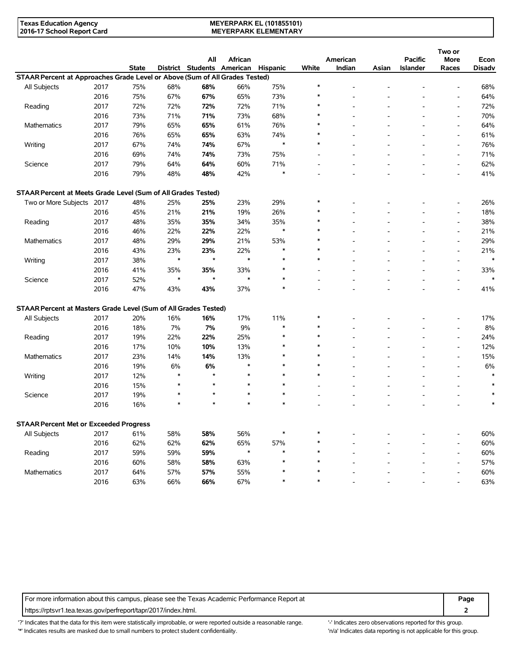### **MEYERPARK EL (101855101) MEYERPARK ELEMENTARY**

|                                                                             |      |              |               | All                        | African       |               |        | American |       | <b>Pacific</b>  | Two or<br>More           | Econ          |
|-----------------------------------------------------------------------------|------|--------------|---------------|----------------------------|---------------|---------------|--------|----------|-------|-----------------|--------------------------|---------------|
|                                                                             |      | <b>State</b> |               | District Students American |               | Hispanic      | White  | Indian   | Asian | <b>Islander</b> | Races                    | <b>Disadv</b> |
| STAAR Percent at Approaches Grade Level or Above (Sum of All Grades Tested) |      |              |               |                            |               |               |        |          |       |                 |                          |               |
| All Subjects                                                                | 2017 | 75%          | 68%           | 68%                        | 66%           | 75%           | $\ast$ |          |       |                 | $\overline{a}$           | 68%           |
|                                                                             | 2016 | 75%          | 67%           | 67%                        | 65%           | 73%           |        |          |       |                 | $\overline{a}$           | 64%           |
| Reading                                                                     | 2017 | 72%          | 72%           | 72%                        | 72%           | 71%           | $\ast$ |          |       |                 | $\overline{a}$           | 72%           |
|                                                                             | 2016 | 73%          | 71%           | 71%                        | 73%           | 68%           | $\ast$ |          |       |                 | $\overline{a}$           | 70%           |
| Mathematics                                                                 | 2017 | 79%          | 65%           | 65%                        | 61%           | 76%           |        |          |       |                 | $\overline{a}$           | 64%           |
|                                                                             | 2016 | 76%          | 65%           | 65%                        | 63%           | 74%           | $\ast$ |          |       |                 | $\overline{a}$           | 61%           |
| Writing                                                                     | 2017 | 67%          | 74%           | 74%                        | 67%           | $\ast$        | $\ast$ |          |       |                 | $\overline{\phantom{a}}$ | 76%           |
|                                                                             | 2016 | 69%          | 74%           | 74%                        | 73%           | 75%           |        |          |       |                 | $\overline{a}$           | 71%           |
| Science                                                                     | 2017 | 79%          | 64%           | 64%                        | 60%           | 71%           |        |          |       |                 | $\overline{a}$           | 62%           |
|                                                                             | 2016 | 79%          | 48%           | 48%                        | 42%           | $\ast$        |        |          |       |                 | $\overline{\phantom{a}}$ | 41%           |
| STAAR Percent at Meets Grade Level (Sum of All Grades Tested)               |      |              |               |                            |               |               |        |          |       |                 |                          |               |
| Two or More Subjects 2017                                                   |      | 48%          | 25%           | 25%                        | 23%           | 29%           | $\ast$ |          |       |                 | $\overline{a}$           | 26%           |
|                                                                             | 2016 | 45%          | 21%           | 21%                        | 19%           | 26%           | $\ast$ |          |       |                 | $\overline{a}$           | 18%           |
|                                                                             | 2017 | 48%          | 35%           | 35%                        | 34%           | 35%           | $\ast$ |          |       |                 | $\overline{a}$           | 38%           |
| Reading                                                                     | 2016 | 46%          | 22%           | 22%                        | 22%           | $\ast$        | $\ast$ |          |       |                 | $\overline{a}$           | 21%           |
|                                                                             |      |              |               |                            |               |               | $\ast$ |          |       |                 | $\overline{a}$           |               |
| Mathematics                                                                 | 2017 | 48%          | 29%           | 29%                        | 21%           | 53%<br>$\ast$ | $\ast$ |          |       |                 |                          | 29%           |
|                                                                             | 2016 | 43%          | 23%<br>$\ast$ | 23%<br>$\star$             | 22%<br>$\ast$ | $\ast$        | $\ast$ |          |       |                 | $\overline{a}$           | 21%<br>$\ast$ |
| Writing                                                                     | 2017 | 38%          |               |                            |               | $\ast$        |        |          |       |                 | $\overline{a}$           |               |
|                                                                             | 2016 | 41%          | 35%<br>$\ast$ | 35%<br>$\star$             | 33%<br>$\ast$ | $\ast$        |        |          |       |                 | $\overline{a}$           | 33%           |
| Science                                                                     | 2017 | 52%          |               |                            |               | $\ast$        |        |          |       |                 | $\overline{a}$           |               |
|                                                                             | 2016 | 47%          | 43%           | 43%                        | 37%           |               |        |          |       |                 | $\overline{a}$           | 41%           |
| STAAR Percent at Masters Grade Level (Sum of All Grades Tested)             |      |              |               |                            |               |               |        |          |       |                 |                          |               |
| All Subjects                                                                | 2017 | 20%          | 16%           | 16%                        | 17%           | 11%           | $\ast$ |          |       |                 |                          | 17%           |
|                                                                             | 2016 | 18%          | 7%            | 7%                         | 9%            | $\ast$        | $\ast$ |          |       |                 | $\overline{a}$           | 8%            |
| Reading                                                                     | 2017 | 19%          | 22%           | 22%                        | 25%           | $\ast$        | $\ast$ |          |       |                 | $\overline{a}$           | 24%           |
|                                                                             | 2016 | 17%          | 10%           | 10%                        | 13%           | $\ast$        | $\ast$ |          |       |                 | $\overline{a}$           | 12%           |
| Mathematics                                                                 | 2017 | 23%          | 14%           | 14%                        | 13%           | $\ast$        | $\ast$ |          |       |                 | $\overline{a}$           | 15%           |
|                                                                             | 2016 | 19%          | 6%            | 6%                         | $\ast$        | $\ast$        | $\ast$ |          |       |                 | $\overline{a}$           | 6%            |
| Writing                                                                     | 2017 | 12%          | $\ast$        | $\lambda$                  | $\ast$        | $\ast$        | $\ast$ |          |       |                 | L,                       | $\ast$        |
|                                                                             | 2016 | 15%          | $\ast$        | $\star$                    | $\ast$        | $\ast$        |        |          |       |                 | $\overline{a}$           | $\ast$        |
| Science                                                                     | 2017 | 19%          | $\ast$        | $\star$                    |               | $\ast$        | L,     |          |       |                 | $\overline{a}$           |               |
|                                                                             | 2016 | 16%          | $\ast$        | $\star$                    | $\ast$        | $\ast$        |        |          |       |                 |                          | $\ast$        |
| <b>STAAR Percent Met or Exceeded Progress</b>                               |      |              |               |                            |               |               |        |          |       |                 |                          |               |
| All Subjects                                                                | 2017 | 61%          | 58%           | 58%                        | 56%           | $\ast$        | $\ast$ |          |       |                 | $\overline{a}$           | 60%           |
|                                                                             | 2016 | 62%          | 62%           | 62%                        | 65%           | 57%           | $\ast$ |          |       |                 | $\overline{a}$           | 60%           |
| Reading                                                                     | 2017 | 59%          | 59%           | 59%                        | $\ast$        | $\ast$        | $\ast$ |          |       |                 | $\blacksquare$           | 60%           |
|                                                                             | 2016 | 60%          | 58%           | 58%                        | 63%           | $\ast$        | $\ast$ |          |       |                 | $\overline{a}$           | 57%           |
| Mathematics                                                                 | 2017 | 64%          | 57%           | 57%                        | 55%           | $\ast$        | $\ast$ |          |       |                 | $\overline{\phantom{a}}$ | 60%           |
|                                                                             | 2016 | 63%          | 66%           | 66%                        | 67%           | $\ast$        | $\ast$ |          |       |                 | L,                       | 63%           |
|                                                                             |      |              |               |                            |               |               |        |          |       |                 |                          |               |

For more information about this campus, please see the Texas Academic Performance Report at **Page Page** https://rptsvr1.tea.texas.gov/perfreport/tapr/2017/index.html. **2**

'?' Indicates that the data for this item were statistically improbable, or were reported outside a reasonable range. '' Indicates zero observations reported for this group. '\*' Indicates results are masked due to small numbers to protect student confidentiality. Ma' Indicates data reporting is not applicable for this group.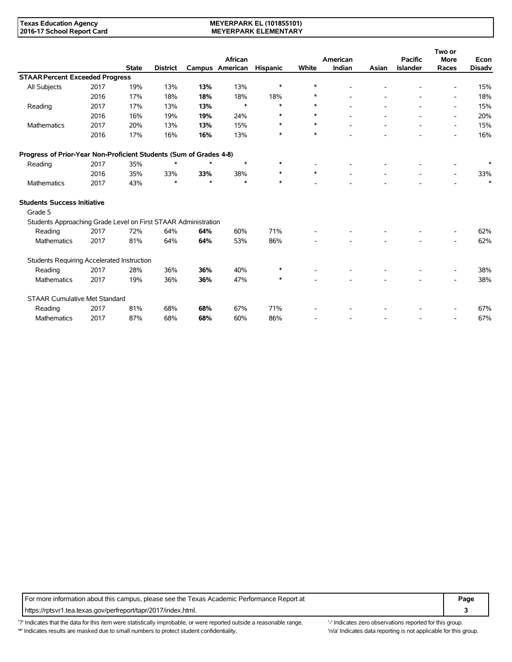### **MEYERPARK EL (101855101) MEYERPARK ELEMENTARY**

|                                                                    |                                                                |              |                 |         |                            |                 |        |                    |       |                                   | Two or                   |                       |
|--------------------------------------------------------------------|----------------------------------------------------------------|--------------|-----------------|---------|----------------------------|-----------------|--------|--------------------|-------|-----------------------------------|--------------------------|-----------------------|
|                                                                    |                                                                | <b>State</b> | <b>District</b> |         | African<br>Campus American | <b>Hispanic</b> | White  | American<br>Indian | Asian | <b>Pacific</b><br><b>Islander</b> | <b>More</b><br>Races     | Econ<br><b>Disadv</b> |
| <b>STAAR Percent Exceeded Progress</b>                             |                                                                |              |                 |         |                            |                 |        |                    |       |                                   |                          |                       |
| All Subjects                                                       | 2017                                                           | 19%          | 13%             | 13%     | 13%                        | $\ast$          | $\ast$ |                    |       |                                   |                          | 15%                   |
|                                                                    |                                                                |              |                 |         |                            |                 | $\ast$ |                    |       |                                   |                          |                       |
|                                                                    | 2016                                                           | 17%          | 18%             | 18%     | 18%                        | 18%             |        |                    |       |                                   |                          | 18%                   |
| Reading                                                            | 2017                                                           | 17%          | 13%             | 13%     | $\ast$                     | $\ast$          | $\ast$ |                    |       |                                   | $\overline{\phantom{a}}$ | 15%                   |
|                                                                    | 2016                                                           | 16%          | 19%             | 19%     | 24%                        | $\ast$          | $\ast$ |                    |       |                                   |                          | 20%                   |
| Mathematics                                                        | 2017                                                           | 20%          | 13%             | 13%     | 15%                        | $\ast$          | $\ast$ |                    |       |                                   | $\overline{\phantom{a}}$ | 15%                   |
|                                                                    | 2016                                                           | 17%          | 16%             | 16%     | 13%                        | $\ast$          | $\ast$ |                    |       |                                   |                          | 16%                   |
| Progress of Prior-Year Non-Proficient Students (Sum of Grades 4-8) |                                                                |              |                 |         |                            |                 |        |                    |       |                                   |                          |                       |
| Reading                                                            | 2017                                                           | 35%          | $\ast$          | $\star$ | $\ast$                     | $\ast$          |        |                    |       |                                   |                          | ∗                     |
|                                                                    | 2016                                                           | 35%          | 33%             | 33%     | 38%                        | $\ast$          | $\ast$ |                    |       | $\blacksquare$                    | $\overline{\phantom{a}}$ | 33%                   |
| Mathematics                                                        | 2017                                                           | 43%          | $\ast$          | $\star$ | $\ast$                     | $\ast$          |        |                    |       |                                   |                          | $\ast$                |
| <b>Students Success Initiative</b>                                 |                                                                |              |                 |         |                            |                 |        |                    |       |                                   |                          |                       |
| Grade 5                                                            |                                                                |              |                 |         |                            |                 |        |                    |       |                                   |                          |                       |
|                                                                    | Students Approaching Grade Level on First STAAR Administration |              |                 |         |                            |                 |        |                    |       |                                   |                          |                       |
| Reading                                                            | 2017                                                           | 72%          | 64%             | 64%     | 60%                        | 71%             |        |                    |       |                                   |                          | 62%                   |
| <b>Mathematics</b>                                                 | 2017                                                           | 81%          | 64%             | 64%     | 53%                        | 86%             |        |                    |       |                                   |                          | 62%                   |
|                                                                    | Students Requiring Accelerated Instruction                     |              |                 |         |                            |                 |        |                    |       |                                   |                          |                       |
| Reading                                                            | 2017                                                           | 28%          | 36%             | 36%     | 40%                        | $\ast$          |        |                    |       |                                   |                          | 38%                   |
| <b>Mathematics</b>                                                 | 2017                                                           | 19%          | 36%             | 36%     | 47%                        | $\ast$          |        |                    |       |                                   |                          | 38%                   |
|                                                                    |                                                                |              |                 |         |                            |                 |        |                    |       |                                   |                          |                       |
|                                                                    | <b>STAAR Cumulative Met Standard</b>                           |              |                 |         |                            |                 |        |                    |       |                                   |                          |                       |
| Reading                                                            | 2017                                                           | 81%          | 68%             | 68%     | 67%                        | 71%             |        |                    |       |                                   |                          | 67%                   |
| <b>Mathematics</b>                                                 | 2017                                                           | 87%          | 68%             | 68%     | 60%                        | 86%             |        |                    |       |                                   |                          | 67%                   |

For more information about this campus, please see the Texas Academic Performance Report at **Page Page** https://rptsvr1.tea.texas.gov/perfreport/tapr/2017/index.html. **3**

'?' Indicates that the data for this item were statistically improbable, or were reported outside a reasonable range. '' Indicates zero observations reported for this group. '\*' Indicates results are masked due to small numbers to protect student confidentiality. Ma' Indicates data reporting is not applicable for this group.